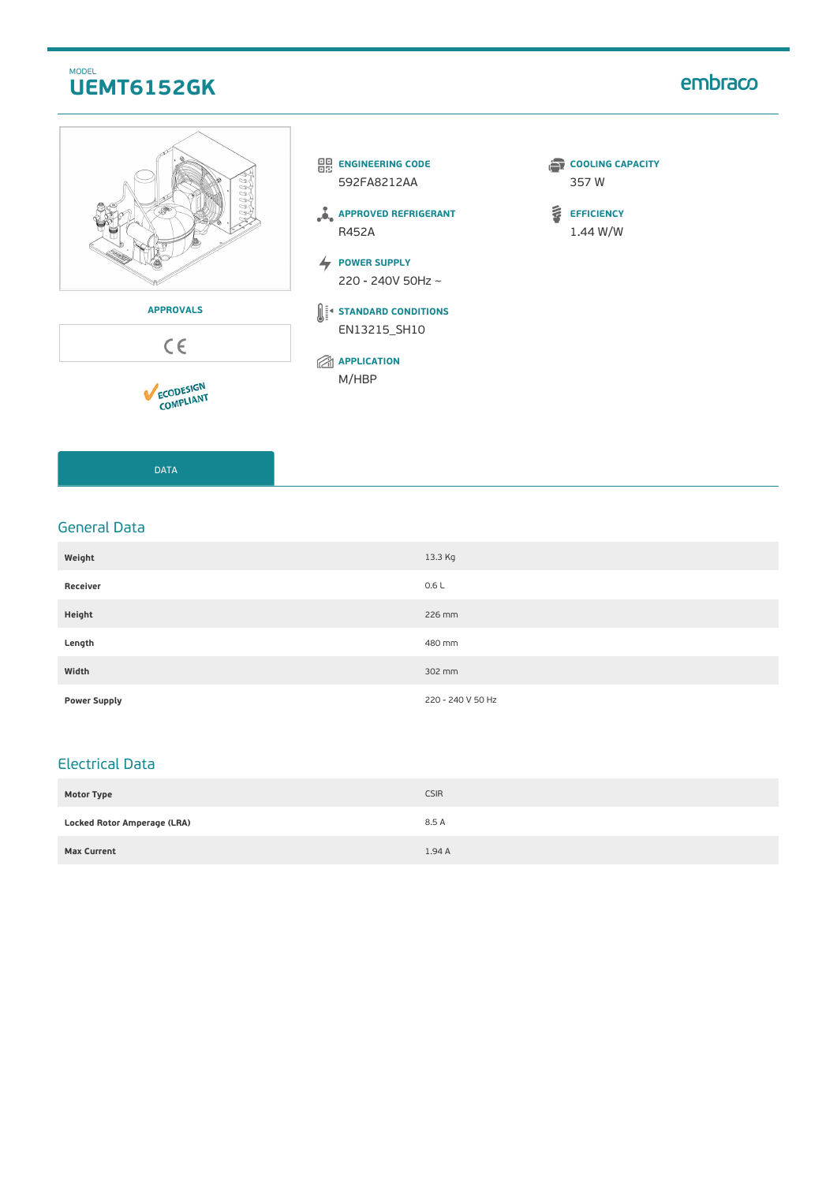## MODEL **UEMT6152GK**

# embraco









**APPROVED REFRIGERANT** R452A

**POWER SUPPLY** 220 - 240V 50Hz ~

**STANDARD CONDITIONS** EN13215\_SH10

**APPLICATION** M/HBP

- **COOLING CAPACITY** 357 W
- $\tilde{\mathbf{v}}$ **EFFICIENCY** 1.44 W/W

DATA

### General Data

| Weight              | 13.3 Kg           |
|---------------------|-------------------|
| Receiver            | 0.6L              |
| Height              | 226 mm            |
| Length              | 480 mm            |
| Width               | 302 mm            |
| <b>Power Supply</b> | 220 - 240 V 50 Hz |

## Electrical Data

| <b>Motor Type</b>                  | <b>CSIR</b> |
|------------------------------------|-------------|
| <b>Locked Rotor Amperage (LRA)</b> | 8.5 A       |
| <b>Max Current</b>                 | 1.94A       |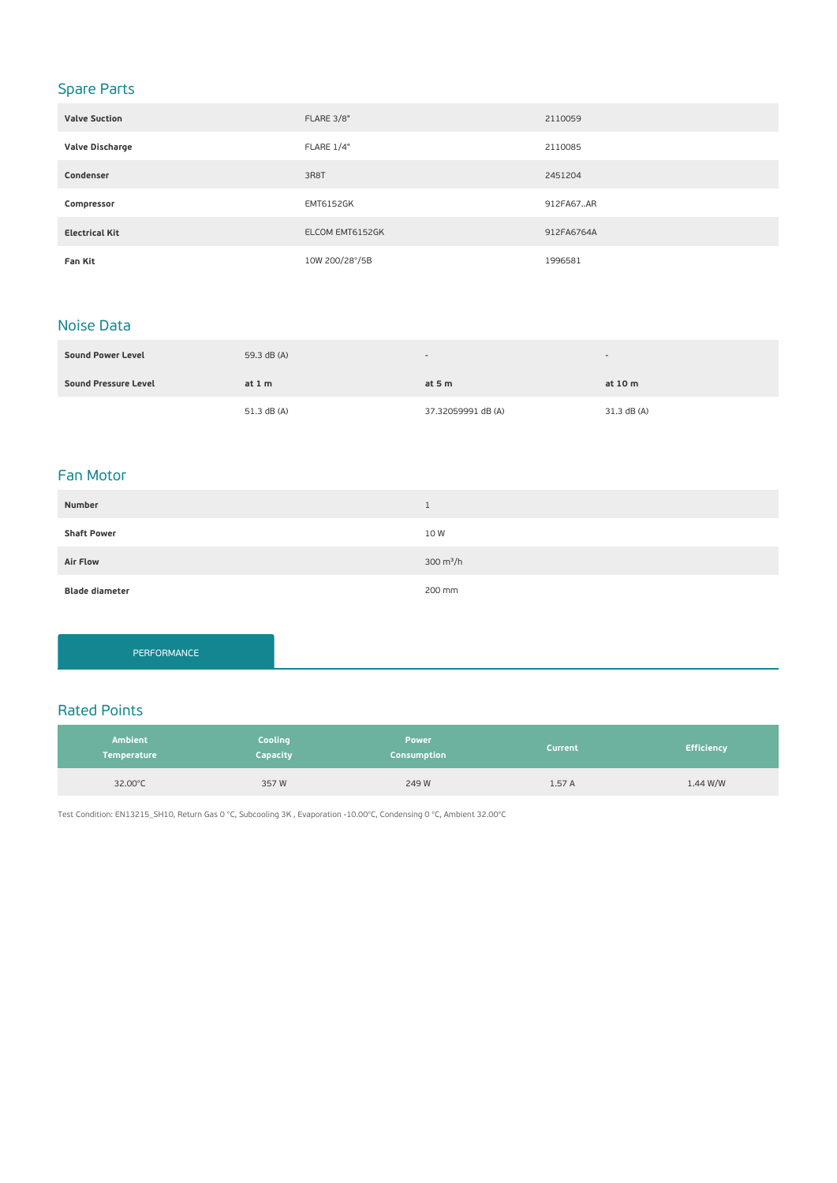# Spare Parts

| <b>Valve Suction</b>  | FLARE 3/8"       | 2110059    |
|-----------------------|------------------|------------|
| Valve Discharge       | FLARE 1/4"       | 2110085    |
| Condenser             | 3R8T             | 2451204    |
| Compressor            | <b>EMT6152GK</b> | 912FA67AR  |
| <b>Electrical Kit</b> | ELCOM EMT6152GK  | 912FA6764A |
| Fan Kit               | 10W 200/28°/5B   | 1996581    |

### Noise Data

| <b>Sound Power Level</b> | 59.3 dB (A) | $\overline{\phantom{a}}$ |             |
|--------------------------|-------------|--------------------------|-------------|
| Sound Pressure Level     | at $1m$     | at $5m$                  | at 10 m     |
|                          | 51.3 dB (A) | 37.32059991 dB (A)       | 31.3 dB (A) |

### Fan Motor

| Number                | <b>J</b>    |
|-----------------------|-------------|
| <b>Shaft Power</b>    | 10 W        |
| <b>Air Flow</b>       | 300 $m^3/h$ |
| <b>Blade diameter</b> | 200 mm      |

PERFORMANCE

### Rated Points

| <b>Ambient</b><br><b>Temperature</b> | Cooling<br>Capacity | <b>Power</b><br>Consumption | <b>Current</b> | <b>Efficiency</b> |
|--------------------------------------|---------------------|-----------------------------|----------------|-------------------|
| 32.00°C                              | 357W                | 249 W                       | 1.57A          | 1.44 W/W          |

Test Condition: EN13215\_SH10, Return Gas 0 °C, Subcooling 3K , Evaporation -10.00°C, Condensing 0 °C, Ambient 32.00°C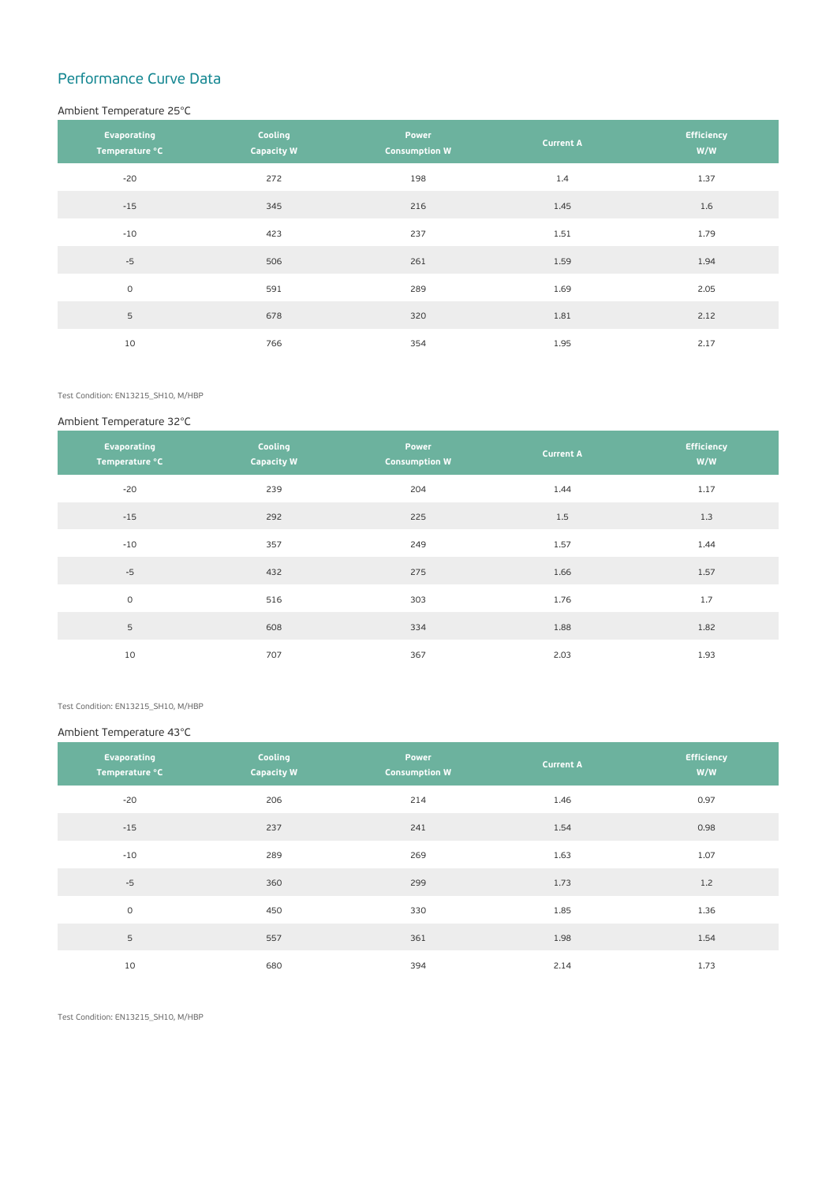# Performance Curve Data

#### Ambient Temperature 25°C

| Evaporating<br>Temperature °C | Cooling<br><b>Capacity W</b> | Power<br><b>Consumption W</b> | <b>Current A</b> | <b>Efficiency</b><br>W/W |
|-------------------------------|------------------------------|-------------------------------|------------------|--------------------------|
| $-20$                         | 272                          | 198                           | 1.4              | 1.37                     |
| $-15$                         | 345                          | 216                           | 1.45             | 1.6                      |
| $-10$                         | 423                          | 237                           | 1.51             | 1.79                     |
| $-5$                          | 506                          | 261                           | 1.59             | 1.94                     |
| $\circ$                       | 591                          | 289                           | 1.69             | 2.05                     |
| 5                             | 678                          | 320                           | 1.81             | 2.12                     |
| 10                            | 766                          | 354                           | 1.95             | 2.17                     |

Test Condition: EN13215\_SH10, M/HBP

#### Ambient Temperature 32°C

| Evaporating<br>Temperature °C | Cooling<br><b>Capacity W</b> | Power<br><b>Consumption W</b> | <b>Current A</b> | <b>Efficiency</b><br>W/W |
|-------------------------------|------------------------------|-------------------------------|------------------|--------------------------|
| $-20$                         | 239                          | 204                           | 1.44             | 1.17                     |
| $-15$                         | 292                          | 225                           | 1.5              | 1.3                      |
| $-10$                         | 357                          | 249                           | 1.57             | 1.44                     |
| $-5$                          | 432                          | 275                           | 1.66             | 1.57                     |
| $\circ$                       | 516                          | 303                           | 1.76             | 1.7                      |
| 5                             | 608                          | 334                           | 1.88             | 1.82                     |
| 10                            | 707                          | 367                           | 2.03             | 1.93                     |

Test Condition: EN13215\_SH10, M/HBP

#### Ambient Temperature 43°C

| Evaporating<br>Temperature °C | Cooling<br><b>Capacity W</b> | Power<br><b>Consumption W</b> | <b>Current A</b> | <b>Efficiency</b><br>W/W |
|-------------------------------|------------------------------|-------------------------------|------------------|--------------------------|
| $-20$                         | 206                          | 214                           | 1.46             | 0.97                     |
| $-15$                         | 237                          | 241                           | 1.54             | 0.98                     |
| $-10$                         | 289                          | 269                           | 1.63             | 1.07                     |
| $-5$                          | 360                          | 299                           | 1.73             | 1.2                      |
| $\circ$                       | 450                          | 330                           | 1.85             | 1.36                     |
| 5                             | 557                          | 361                           | 1.98             | 1.54                     |
| 10                            | 680                          | 394                           | 2.14             | 1.73                     |

Test Condition: EN13215\_SH10, M/HBP